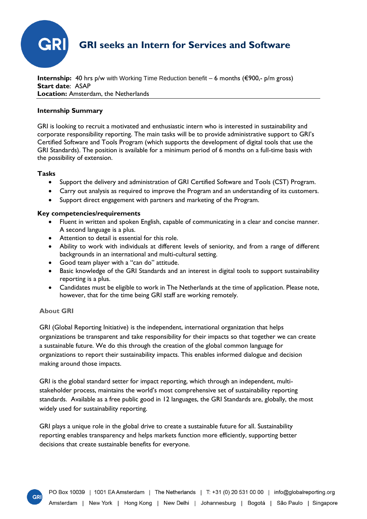

**Internship:** 40 hrs p/w with Working Time Reduction benefit – 6 months (€900,- p/m gross) **Start date**: ASAP **Location:** Amsterdam, the Netherlands

### **Internship Summary**

GRI is looking to recruit a motivated and enthusiastic intern who is interested in sustainability and corporate responsibility reporting. The main tasks will be to provide administrative support to GRI's Certified Software and Tools Program (which supports the development of digital tools that use the GRI Standards). The position is available for a minimum period of 6 months on a full-time basis with the possibility of extension.

## **Tasks**

- Support the delivery and administration of GRI Certified Software and Tools (CST) Program.
- Carry out analysis as required to improve the Program and an understanding of its customers.
- Support direct engagement with partners and marketing of the Program.

## **Key competencies/requirements**

- Fluent in written and spoken English, capable of communicating in a clear and concise manner. A second language is a plus.
- Attention to detail is essential for this role.
- Ability to work with individuals at different levels of seniority, and from a range of different backgrounds in an international and multi-cultural setting.
- Good team player with a "can do" attitude.
- Basic knowledge of the GRI Standards and an interest in digital tools to support sustainability reporting is a plus.
- Candidates must be eligible to work in The Netherlands at the time of application. Please note, however, that for the time being GRI staff are working remotely.

# **About GRI**

**GR** 

GRI (Global Reporting Initiative) is the independent, international organization that helps organizations be transparent and take responsibility for their impacts so that together we can create a sustainable future. We do this through the creation of the global common language for organizations to report their sustainability impacts. This enables informed dialogue and decision making around those impacts.

GRI is the global standard setter for impact reporting, which through an independent, multistakeholder process, maintains the world's most comprehensive set of sustainability reporting standards. Available as a free public good in 12 languages, the GRI Standards are, globally, the most widely used for sustainability reporting.

GRI plays a unique role in the global drive to create a sustainable future for all. Sustainability reporting enables transparency and helps markets function more efficiently, supporting better decisions that create sustainable benefits for everyone.